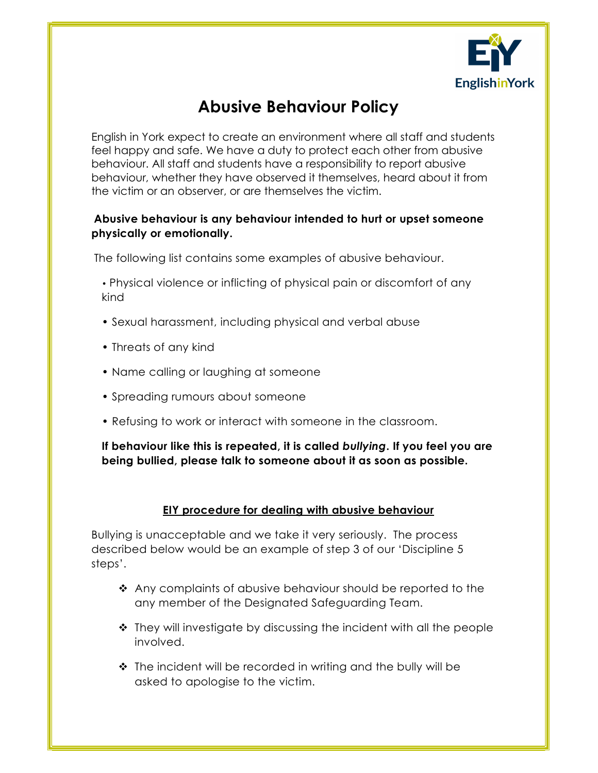

## Abusive Behaviour Policy

English in York expect to create an environment where all staff and students feel happy and safe. We have a duty to protect each other from abusive behaviour. All staff and students have a responsibility to report abusive behaviour, whether they have observed it themselves, heard about it from the victim or an observer, or are themselves the victim.

## Abusive behaviour is any behaviour intended to hurt or upset someone physically or emotionally.

The following list contains some examples of abusive behaviour.

• Physical violence or inflicting of physical pain or discomfort of any kind

- Sexual harassment, including physical and verbal abuse
- Threats of any kind
- Name calling or laughing at someone
- Spreading rumours about someone
- Refusing to work or interact with someone in the classroom.

If behaviour like this is repeated, it is called bullying. If you feel you are being bullied, please talk to someone about it as soon as possible.

## EIY procedure for dealing with abusive behaviour

Bullying is unacceptable and we take it very seriously. The process described below would be an example of step 3 of our 'Discipline 5 steps'.

- Any complaints of abusive behaviour should be reported to the any member of the Designated Safeguarding Team.
- ◆ They will investigate by discussing the incident with all the people involved.
- The incident will be recorded in writing and the bully will be asked to apologise to the victim.